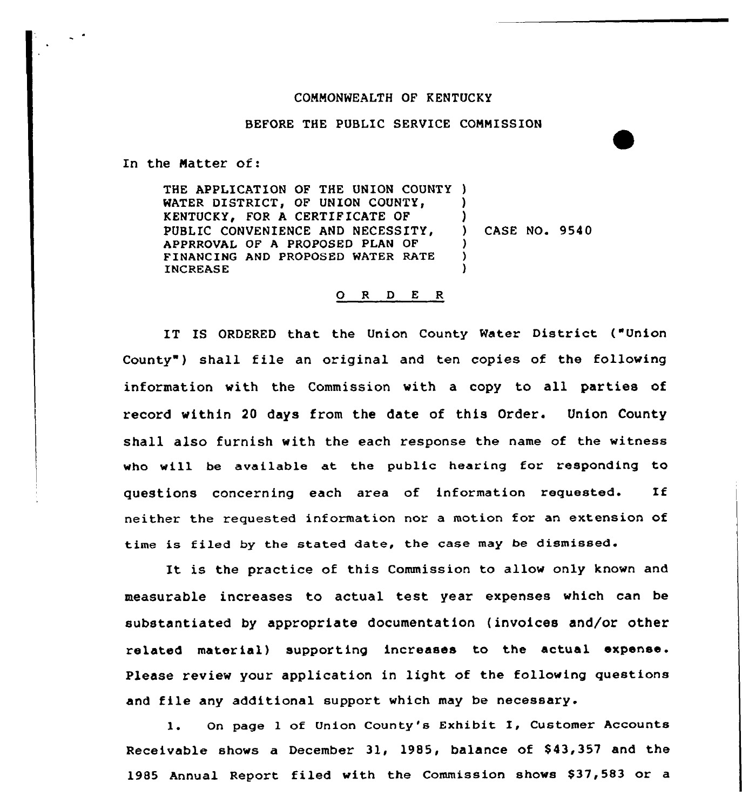## COMMONWEALTH OF KENTUCKY

## BEFORE THE PUBLIC SERVICE COMMISSION

In the Matter of:

THE APPLICATION OF THE UNION COUNTY ) WATER DISTRICT, OF UNION COUNTY, KENTUCKY, FOR A CERTIFICATE OF PUBLIC CONVENIENCE AND NECESSITY, APPRROVAL OF A PROPOSED PLAN OF FINANCING AND PROPOSED WATER RATE INCREASE ) ) ) CASE NO. 9540 )  $\lambda$ )

## 0 <sup>R</sup> <sup>D</sup> <sup>E</sup> <sup>R</sup>

IT IS ORDERED that the Union County Water District ("Union County") shall file an original and ten copies of the following information with the Commission with a copy to all parties of record within 20 days from the date of this Order. Union County shall also furnish with the each response the name of the witness who will be available at the public hearing for responding to questions concerning each area of information requested. If neither the requested information nor a motion for an extension of time is filed by the stated date, the case may be dismissed.

is the practice of this Commission to allow only known and measurable increases to actual test year expenses which can be substantiated by appropriate documentation (invoices and/or other related material) supporting increases to the actual expense. Please review your application in light of the following questions and file any additional support which may be necessary.

l. On page <sup>1</sup> of Union County's Exhibit I, Customer Accounts Receivable shows a December 31, 1985, balance of \$43,357 and the 1985 Annual Report filed with the Commission shows \$37,583 or a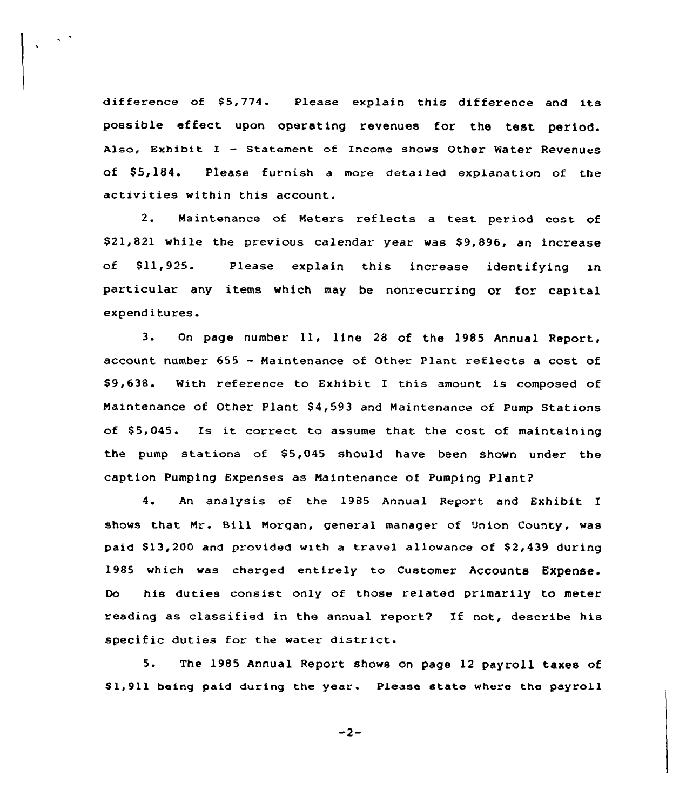difference of \$5,774. Please explain this difference and its possible effect upon operating revenues for the test period. Also, Exhibit I - Statement of Income shows Other Water Revenues of \$5,184. Please furnish a more detailed explanation of the activities within this account.

 $\zeta$  .

2. Naintenance of Meters reflects <sup>a</sup> test period cost of \$21,821 while the previous calendar year was \$9,896, an increase of \$11,925. Please explain this increase identifying in particular any items which may be nonrecurring or for capital expenditures.

3. On page number 11, line <sup>28</sup> of the 1985 Annual Report, account number 655 — Naintenance of Other Plant reflects a cost of \$9,638. With reference to Exhibit <sup>X</sup> this amount is composed of Maintenance of Other Plant \$4,593 and Maintenance of Pump Stations of  $$5,045$ . Is it correct to assume that the cost of maintaining the pump stations of \$5,045 should have been shown under the caption Pumping Expenses as Maintenance of Pumping Plant?

4. An analysis of the 1985 Annual Report and Exhibit <sup>X</sup> shows that Nr. Bill Morgan, general manager of Union County, was paid  $$13,200$  and provided with a travel allowance of  $$2,439$  during 1985 which was charged entirely to Customer Accounts Expense. Do his duties consist only of those related primarily to meter reading as classified in the annual report2 Xf not, describe his specific duties for the water district.

5. The 1985 Annual Report shows on page <sup>12</sup> payroll taxes of \$ 1,911 being paid during the year. Please state where the payroll

 $-2-$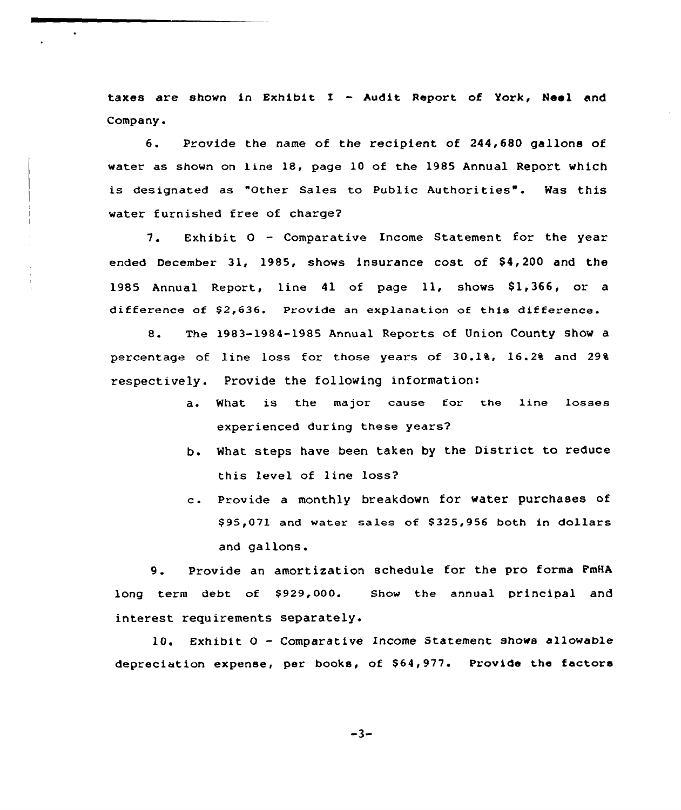taxes are shown in Exhibit I — Audit Report of York, Noel and Company.

6. Provide the name of the recipient of 244,680 gallons of water as shown on line 18, page 10 of the 1985 Annual Report which is designated as "Other Sales to Public Authorities". Was this water furnished free of charge?

7. Exhibit 0 — Comparative Income Statement for the year ended December 31, 1985, shows insurance cost of \$4,200 and the 1985 Annual Report, line 41 of page 11, shows \$1,366, or a difference of \$2,636. Provide an explanation of this difference.

8. The 1983-1984-1985 Annual Reports of Union County show <sup>a</sup> percentage of line loss for those years of 30.14, 16.24 and 294 respectively. Provide the following information:

- a. What is the major cause for the line losses experienced during these years2
- b. What steps have been taken by the District to reduce this level of line loss2
- c. Provide <sup>a</sup> monthly breakdown for water purchases of \$ 95,071 and water sales of 8325,956 both in dollars and gallons.

9. Provide an amortization schedule for the pro forma FmHA long term debt of \$929,000. interest requirements separately. Shcw the annual principal and

10. Exhibit 0 — Comparative Income Statement shows allowable depreciation expense, per books, of \$64,977. Provide the factors

 $-3-$